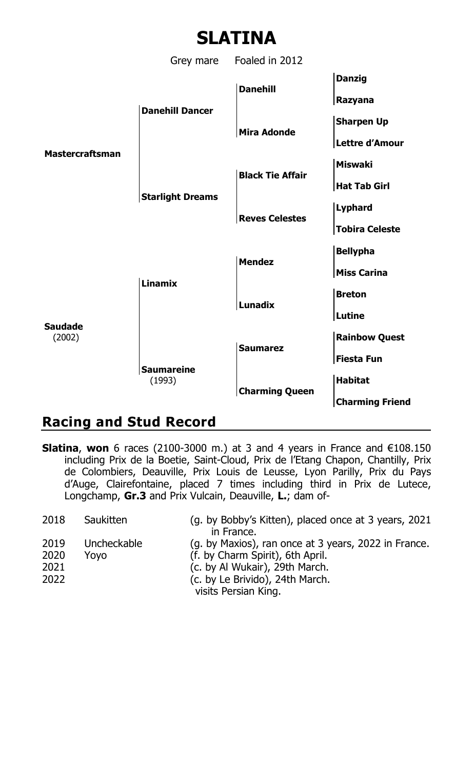

## **Racing and Stud Record**

**Slatina**, **won** 6 races (2100-3000 m.) at 3 and 4 years in France and €108.150 including Prix de la Boetie, Saint-Cloud, Prix de l'Etang Chapon, Chantilly, Prix de Colombiers, Deauville, Prix Louis de Leusse, Lyon Parilly, Prix du Pays d'Auge, Clairefontaine, placed 7 times including third in Prix de Lutece, Longchamp, **Gr.3** and Prix Vulcain, Deauville, **L.**; dam of-

| 2018                         | Saukitten           | (g. by Bobby's Kitten), placed once at 3 years, 2021<br>in France.                                                                                            |
|------------------------------|---------------------|---------------------------------------------------------------------------------------------------------------------------------------------------------------|
| 2019<br>2020<br>2021<br>2022 | Uncheckable<br>Yovo | (g. by Maxios), ran once at 3 years, 2022 in France.<br>(f. by Charm Spirit), 6th April.<br>(c. by Al Wukair), 29th March.<br>(c. by Le Brivido), 24th March. |
|                              |                     | visits Persian King.                                                                                                                                          |